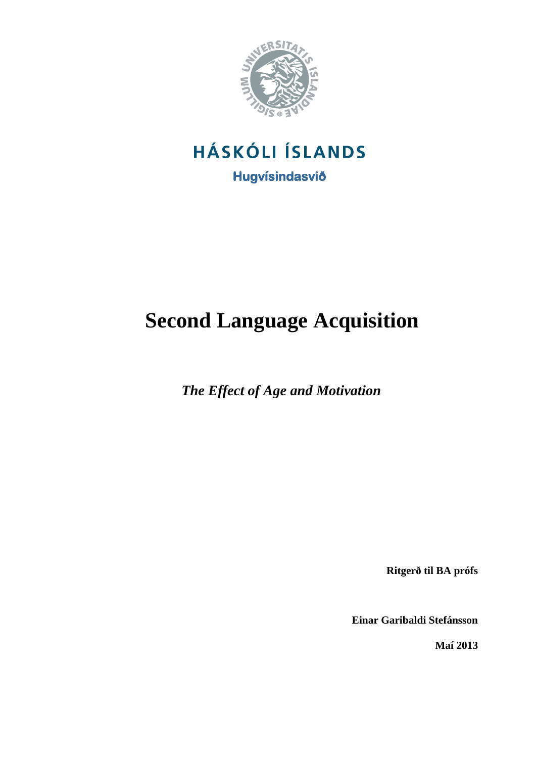

# **HÁSKÓLI ÍSLANDS Hugvísindasvið**

# **Second Language Acquisition**

*The Effect of Age and Motivation*

**Ritgerð til BA prófs** 

**Einar Garibaldi Stefánsson**

**Maí 2013**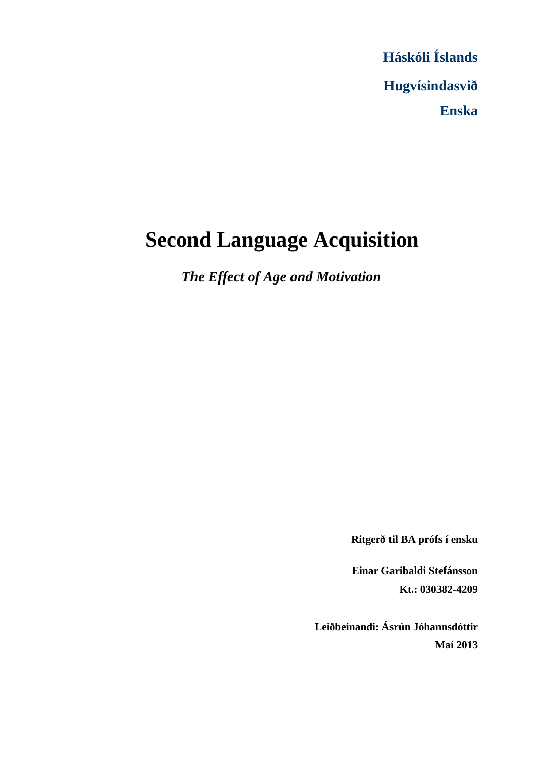**Háskóli Íslands Hugvísindasvið Enska** 

# **Second Language Acquisition**

*The Effect of Age and Motivation*

**Ritgerð til BA prófs í ensku**

**Einar Garibaldi Stefánsson Kt.: 030382-4209**

**Leiðbeinandi: Ásrún Jóhannsdóttir Maí 2013**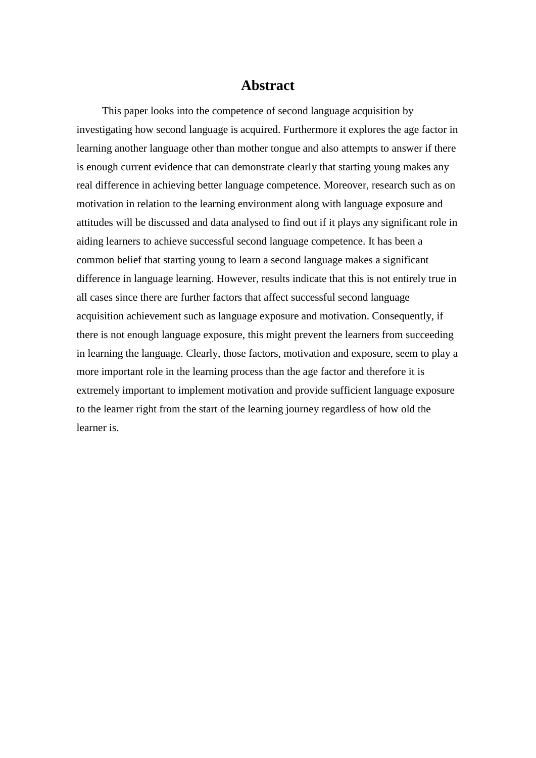## **Abstract**

This paper looks into the competence of second language acquisition by investigating how second language is acquired. Furthermore it explores the age factor in learning another language other than mother tongue and also attempts to answer if there is enough current evidence that can demonstrate clearly that starting young makes any real difference in achieving better language competence. Moreover, research such as on motivation in relation to the learning environment along with language exposure and attitudes will be discussed and data analysed to find out if it plays any significant role in aiding learners to achieve successful second language competence. It has been a common belief that starting young to learn a second language makes a significant difference in language learning. However, results indicate that this is not entirely true in all cases since there are further factors that affect successful second language acquisition achievement such as language exposure and motivation. Consequently, if there is not enough language exposure, this might prevent the learners from succeeding in learning the language. Clearly, those factors, motivation and exposure, seem to play a more important role in the learning process than the age factor and therefore it is extremely important to implement motivation and provide sufficient language exposure to the learner right from the start of the learning journey regardless of how old the learner is.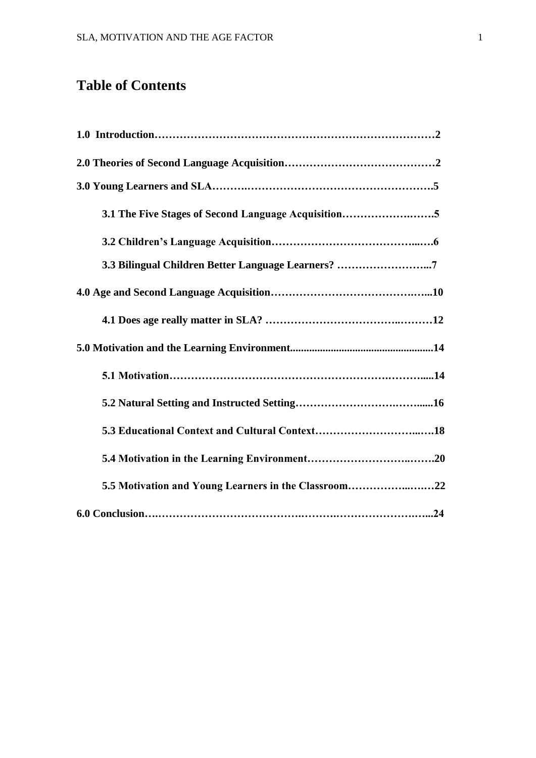# **Table of Contents**

| 3.1 The Five Stages of Second Language Acquisition5  |  |
|------------------------------------------------------|--|
|                                                      |  |
| 3.3 Bilingual Children Better Language Learners? 7   |  |
|                                                      |  |
|                                                      |  |
|                                                      |  |
|                                                      |  |
|                                                      |  |
|                                                      |  |
|                                                      |  |
| 5.5 Motivation and Young Learners in the Classroom22 |  |
|                                                      |  |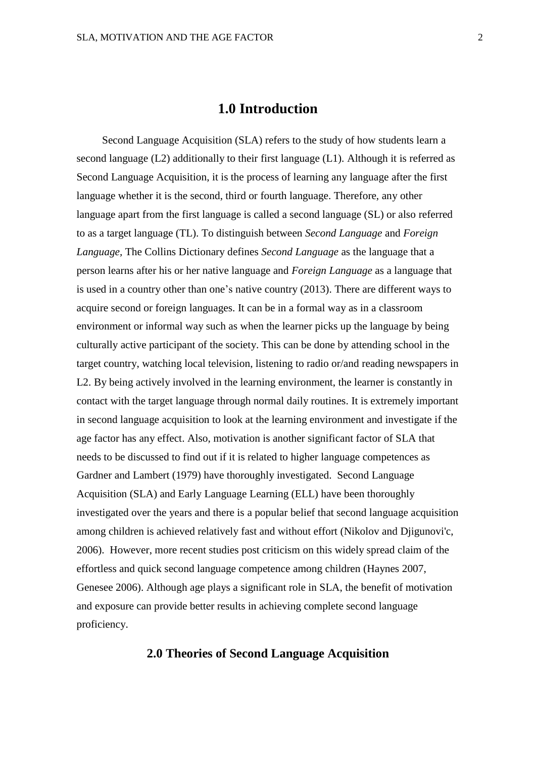# **1.0 Introduction**

Second Language Acquisition (SLA) refers to the study of how students learn a second language (L2) additionally to their first language (L1). Although it is referred as Second Language Acquisition, it is the process of learning any language after the first language whether it is the second, third or fourth language. Therefore, any other language apart from the first language is called a second language (SL) or also referred to as a target language (TL). To distinguish between *Second Language* and *Foreign Language,* The Collins Dictionary defines *Second Language* as the language that a person learns after his or her native language and *Foreign Language* as a language that is used in a country other than one's native country (2013). There are different ways to acquire second or foreign languages. It can be in a formal way as in a classroom environment or informal way such as when the learner picks up the language by being culturally active participant of the society. This can be done by attending school in the target country, watching local television, listening to radio or/and reading newspapers in L2. By being actively involved in the learning environment, the learner is constantly in contact with the target language through normal daily routines. It is extremely important in second language acquisition to look at the learning environment and investigate if the age factor has any effect. Also, motivation is another significant factor of SLA that needs to be discussed to find out if it is related to higher language competences as Gardner and Lambert (1979) have thoroughly investigated. Second Language Acquisition (SLA) and Early Language Learning (ELL) have been thoroughly investigated over the years and there is a popular belief that second language acquisition among children is achieved relatively fast and without effort (Nikolov and Djigunovi'c, 2006). However, more recent studies post criticism on this widely spread claim of the effortless and quick second language competence among children (Haynes 2007, Genesee 2006). Although age plays a significant role in SLA, the benefit of motivation and exposure can provide better results in achieving complete second language proficiency.

#### **2.0 Theories of Second Language Acquisition**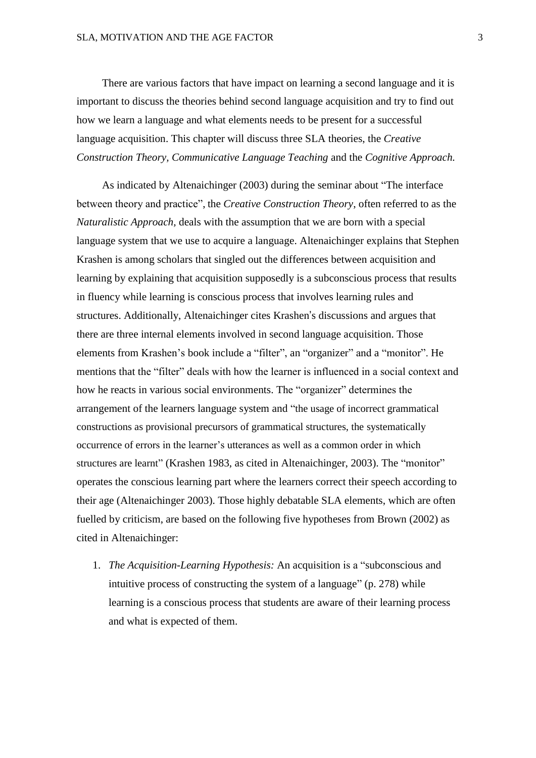There are various factors that have impact on learning a second language and it is important to discuss the theories behind second language acquisition and try to find out how we learn a language and what elements needs to be present for a successful language acquisition. This chapter will discuss three SLA theories, the *Creative Construction Theory, Communicative Language Teaching* and the *Cognitive Approach.* 

As indicated by Altenaichinger (2003) during the seminar about "The interface between theory and practice", the *Creative Construction Theory*, often referred to as the *Naturalistic Approach,* deals with the assumption that we are born with a special language system that we use to acquire a language. Altenaichinger explains that Stephen Krashen is among scholars that singled out the differences between acquisition and learning by explaining that acquisition supposedly is a subconscious process that results in fluency while learning is conscious process that involves learning rules and structures. Additionally, Altenaichinger cites Krashen's discussions and argues that there are three internal elements involved in second language acquisition. Those elements from Krashen's book include a "filter", an "organizer" and a "monitor". He mentions that the "filter" deals with how the learner is influenced in a social context and how he reacts in various social environments. The "organizer" determines the arrangement of the learners language system and "the usage of incorrect grammatical constructions as provisional precursors of grammatical structures, the systematically occurrence of errors in the learner's utterances as well as a common order in which structures are learnt" (Krashen 1983, as cited in Altenaichinger, 2003). The "monitor" operates the conscious learning part where the learners correct their speech according to their age (Altenaichinger 2003). Those highly debatable SLA elements, which are often fuelled by criticism, are based on the following five hypotheses from Brown (2002) as cited in Altenaichinger:

1. *The Acquisition-Learning Hypothesis:* An acquisition is a "subconscious and intuitive process of constructing the system of a language" (p. 278) while learning is a conscious process that students are aware of their learning process and what is expected of them.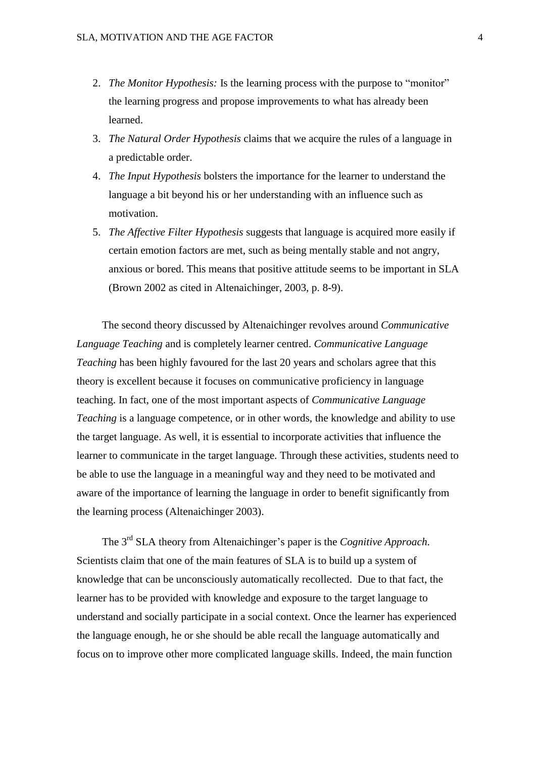- 2. *The Monitor Hypothesis:* Is the learning process with the purpose to "monitor" the learning progress and propose improvements to what has already been learned.
- 3. *The Natural Order Hypothesis* claims that we acquire the rules of a language in a predictable order.
- 4. *The Input Hypothesis* bolsters the importance for the learner to understand the language a bit beyond his or her understanding with an influence such as motivation.
- 5. *The Affective Filter Hypothesis* suggests that language is acquired more easily if certain emotion factors are met, such as being mentally stable and not angry, anxious or bored. This means that positive attitude seems to be important in SLA (Brown 2002 as cited in Altenaichinger, 2003, p. 8-9).

The second theory discussed by Altenaichinger revolves around *Communicative Language Teaching* and is completely learner centred. *Communicative Language Teaching* has been highly favoured for the last 20 years and scholars agree that this theory is excellent because it focuses on communicative proficiency in language teaching. In fact, one of the most important aspects of *Communicative Language Teaching* is a language competence, or in other words, the knowledge and ability to use the target language. As well, it is essential to incorporate activities that influence the learner to communicate in the target language. Through these activities, students need to be able to use the language in a meaningful way and they need to be motivated and aware of the importance of learning the language in order to benefit significantly from the learning process (Altenaichinger 2003).

The 3rd SLA theory from Altenaichinger's paper is the *Cognitive Approach*. Scientists claim that one of the main features of SLA is to build up a system of knowledge that can be unconsciously automatically recollected. Due to that fact, the learner has to be provided with knowledge and exposure to the target language to understand and socially participate in a social context. Once the learner has experienced the language enough, he or she should be able recall the language automatically and focus on to improve other more complicated language skills. Indeed, the main function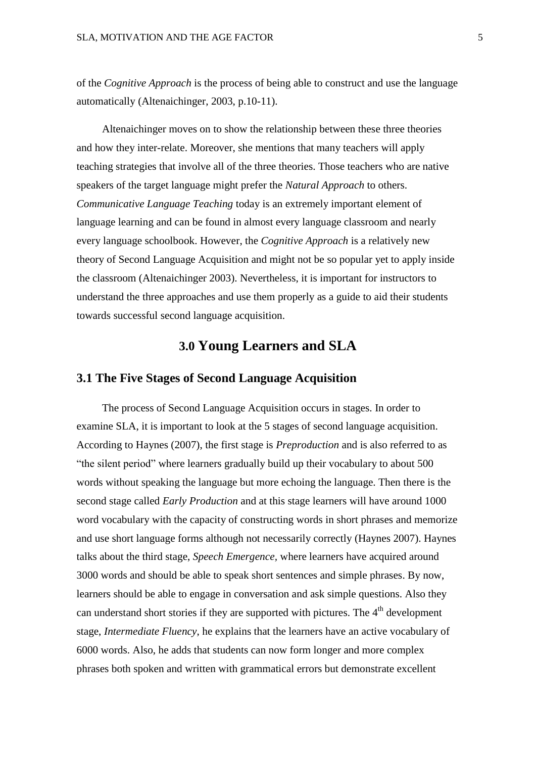of the *Cognitive Approach* is the process of being able to construct and use the language automatically (Altenaichinger, 2003, p.10-11).

Altenaichinger moves on to show the relationship between these three theories and how they inter-relate. Moreover, she mentions that many teachers will apply teaching strategies that involve all of the three theories. Those teachers who are native speakers of the target language might prefer the *Natural Approach* to others. *Communicative Language Teaching* today is an extremely important element of language learning and can be found in almost every language classroom and nearly every language schoolbook. However, the *Cognitive Approach* is a relatively new theory of Second Language Acquisition and might not be so popular yet to apply inside the classroom (Altenaichinger 2003). Nevertheless, it is important for instructors to understand the three approaches and use them properly as a guide to aid their students towards successful second language acquisition.

# **3.0 Young Learners and SLA**

#### **3.1 The Five Stages of Second Language Acquisition**

The process of Second Language Acquisition occurs in stages. In order to examine SLA, it is important to look at the 5 stages of second language acquisition. According to Haynes (2007), the first stage is *Preproduction* and is also referred to as "the silent period" where learners gradually build up their vocabulary to about 500 words without speaking the language but more echoing the language. Then there is the second stage called *Early Production* and at this stage learners will have around 1000 word vocabulary with the capacity of constructing words in short phrases and memorize and use short language forms although not necessarily correctly (Haynes 2007). Haynes talks about the third stage, *Speech Emergence,* where learners have acquired around 3000 words and should be able to speak short sentences and simple phrases. By now, learners should be able to engage in conversation and ask simple questions. Also they can understand short stories if they are supported with pictures. The 4<sup>th</sup> development stage, *Intermediate Fluency*, he explains that the learners have an active vocabulary of 6000 words. Also, he adds that students can now form longer and more complex phrases both spoken and written with grammatical errors but demonstrate excellent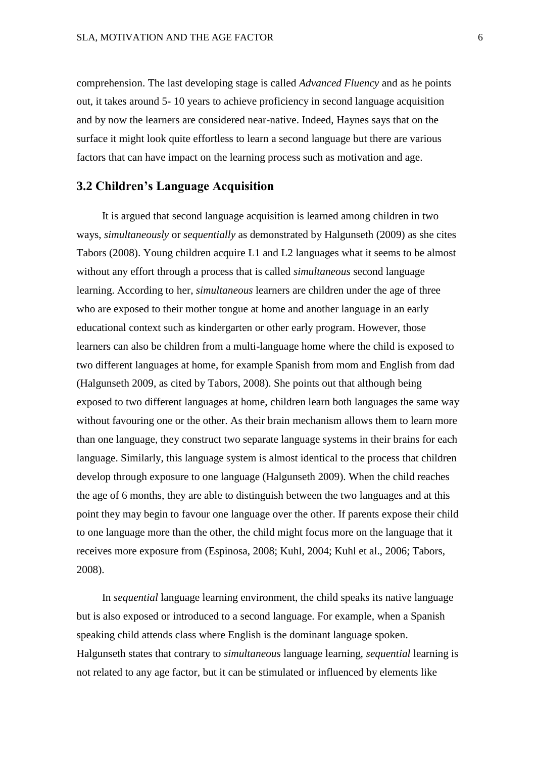comprehension. The last developing stage is called *Advanced Fluency* and as he points out, it takes around 5- 10 years to achieve proficiency in second language acquisition and by now the learners are considered near-native. Indeed, Haynes says that on the surface it might look quite effortless to learn a second language but there are various factors that can have impact on the learning process such as motivation and age.

### **3.2 Children's Language Acquisition**

It is argued that second language acquisition is learned among children in two ways, *simultaneously* or *sequentially* as demonstrated by Halgunseth (2009) as she cites Tabors (2008). Young children acquire L1 and L2 languages what it seems to be almost without any effort through a process that is called *simultaneous* second language learning. According to her, *simultaneous* learners are children under the age of three who are exposed to their mother tongue at home and another language in an early educational context such as kindergarten or other early program. However, those learners can also be children from a multi-language home where the child is exposed to two different languages at home, for example Spanish from mom and English from dad (Halgunseth 2009, as cited by Tabors, 2008). She points out that although being exposed to two different languages at home, children learn both languages the same way without favouring one or the other. As their brain mechanism allows them to learn more than one language, they construct two separate language systems in their brains for each language. Similarly, this language system is almost identical to the process that children develop through exposure to one language (Halgunseth 2009). When the child reaches the age of 6 months, they are able to distinguish between the two languages and at this point they may begin to favour one language over the other. If parents expose their child to one language more than the other, the child might focus more on the language that it receives more exposure from (Espinosa, 2008; Kuhl, 2004; Kuhl et al., 2006; Tabors, 2008).

In *sequential* language learning environment, the child speaks its native language but is also exposed or introduced to a second language. For example, when a Spanish speaking child attends class where English is the dominant language spoken. Halgunseth states that contrary to *simultaneous* language learning, *sequential* learning is not related to any age factor, but it can be stimulated or influenced by elements like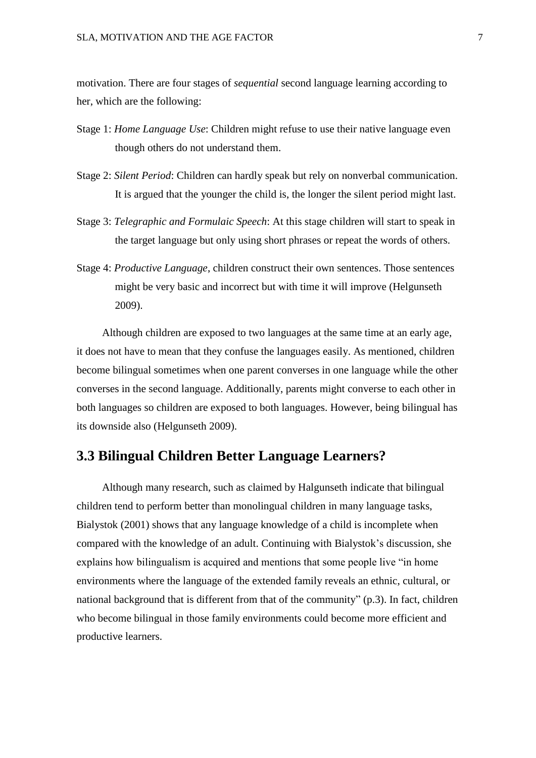motivation. There are four stages of *sequential* second language learning according to her, which are the following:

- Stage 1: *Home Language Use*: Children might refuse to use their native language even though others do not understand them.
- Stage 2: *Silent Period*: Children can hardly speak but rely on nonverbal communication. It is argued that the younger the child is, the longer the silent period might last.
- Stage 3: *Telegraphic and Formulaic Speech*: At this stage children will start to speak in the target language but only using short phrases or repeat the words of others.
- Stage 4: *Productive Language*, children construct their own sentences. Those sentences might be very basic and incorrect but with time it will improve (Helgunseth 2009).

Although children are exposed to two languages at the same time at an early age, it does not have to mean that they confuse the languages easily. As mentioned, children become bilingual sometimes when one parent converses in one language while the other converses in the second language. Additionally, parents might converse to each other in both languages so children are exposed to both languages. However, being bilingual has its downside also (Helgunseth 2009).

# **3.3 Bilingual Children Better Language Learners?**

Although many research, such as claimed by Halgunseth indicate that bilingual children tend to perform better than monolingual children in many language tasks, Bialystok (2001) shows that any language knowledge of a child is incomplete when compared with the knowledge of an adult. Continuing with Bialystok's discussion, she explains how bilingualism is acquired and mentions that some people live "in home environments where the language of the extended family reveals an ethnic, cultural, or national background that is different from that of the community" (p.3). In fact, children who become bilingual in those family environments could become more efficient and productive learners.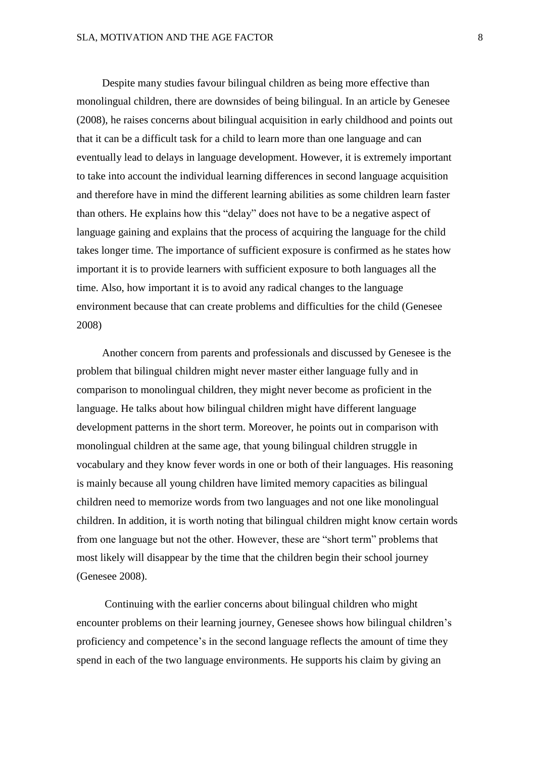Despite many studies favour bilingual children as being more effective than monolingual children, there are downsides of being bilingual. In an article by Genesee (2008), he raises concerns about bilingual acquisition in early childhood and points out that it can be a difficult task for a child to learn more than one language and can eventually lead to delays in language development. However, it is extremely important to take into account the individual learning differences in second language acquisition and therefore have in mind the different learning abilities as some children learn faster than others. He explains how this "delay" does not have to be a negative aspect of language gaining and explains that the process of acquiring the language for the child takes longer time. The importance of sufficient exposure is confirmed as he states how important it is to provide learners with sufficient exposure to both languages all the time. Also, how important it is to avoid any radical changes to the language environment because that can create problems and difficulties for the child (Genesee 2008)

Another concern from parents and professionals and discussed by Genesee is the problem that bilingual children might never master either language fully and in comparison to monolingual children, they might never become as proficient in the language. He talks about how bilingual children might have different language development patterns in the short term. Moreover, he points out in comparison with monolingual children at the same age, that young bilingual children struggle in vocabulary and they know fever words in one or both of their languages. His reasoning is mainly because all young children have limited memory capacities as bilingual children need to memorize words from two languages and not one like monolingual children. In addition, it is worth noting that bilingual children might know certain words from one language but not the other. However, these are "short term" problems that most likely will disappear by the time that the children begin their school journey (Genesee 2008).

Continuing with the earlier concerns about bilingual children who might encounter problems on their learning journey, Genesee shows how bilingual children's proficiency and competence's in the second language reflects the amount of time they spend in each of the two language environments. He supports his claim by giving an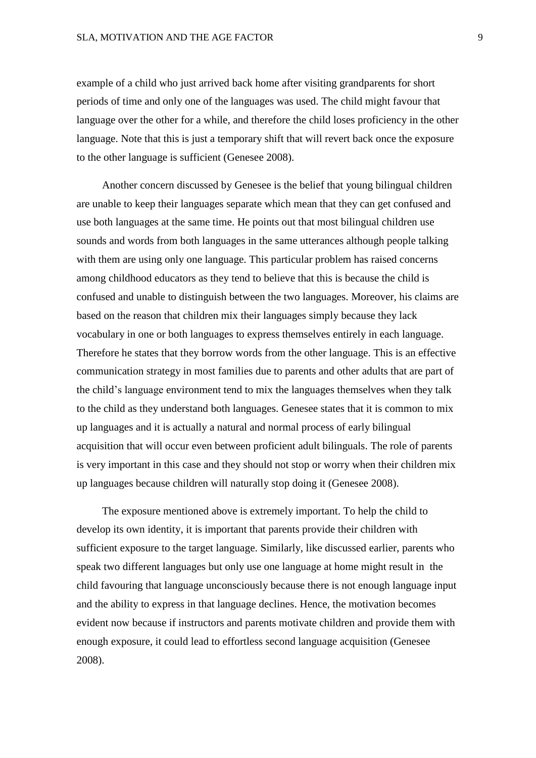example of a child who just arrived back home after visiting grandparents for short periods of time and only one of the languages was used. The child might favour that language over the other for a while, and therefore the child loses proficiency in the other language. Note that this is just a temporary shift that will revert back once the exposure to the other language is sufficient (Genesee 2008).

Another concern discussed by Genesee is the belief that young bilingual children are unable to keep their languages separate which mean that they can get confused and use both languages at the same time. He points out that most bilingual children use sounds and words from both languages in the same utterances although people talking with them are using only one language. This particular problem has raised concerns among childhood educators as they tend to believe that this is because the child is confused and unable to distinguish between the two languages. Moreover, his claims are based on the reason that children mix their languages simply because they lack vocabulary in one or both languages to express themselves entirely in each language. Therefore he states that they borrow words from the other language. This is an effective communication strategy in most families due to parents and other adults that are part of the child's language environment tend to mix the languages themselves when they talk to the child as they understand both languages. Genesee states that it is common to mix up languages and it is actually a natural and normal process of early bilingual acquisition that will occur even between proficient adult bilinguals. The role of parents is very important in this case and they should not stop or worry when their children mix up languages because children will naturally stop doing it (Genesee 2008).

The exposure mentioned above is extremely important. To help the child to develop its own identity, it is important that parents provide their children with sufficient exposure to the target language. Similarly, like discussed earlier, parents who speak two different languages but only use one language at home might result in the child favouring that language unconsciously because there is not enough language input and the ability to express in that language declines. Hence, the motivation becomes evident now because if instructors and parents motivate children and provide them with enough exposure, it could lead to effortless second language acquisition (Genesee 2008).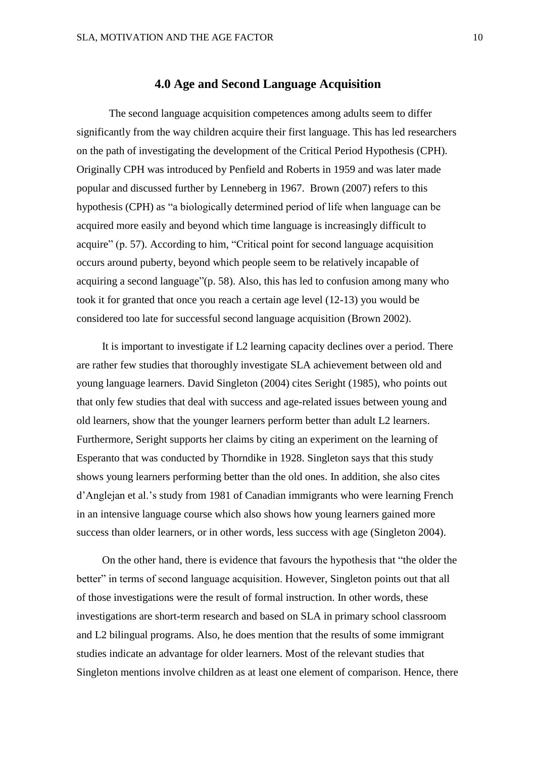#### **4.0 Age and Second Language Acquisition**

The second language acquisition competences among adults seem to differ significantly from the way children acquire their first language. This has led researchers on the path of investigating the development of the Critical Period Hypothesis (CPH). Originally CPH was introduced by Penfield and Roberts in 1959 and was later made popular and discussed further by Lenneberg in 1967. Brown (2007) refers to this hypothesis (CPH) as "a biologically determined period of life when language can be acquired more easily and beyond which time language is increasingly difficult to acquire" (p. 57). According to him, "Critical point for second language acquisition occurs around puberty, beyond which people seem to be relatively incapable of acquiring a second language"(p. 58). Also, this has led to confusion among many who took it for granted that once you reach a certain age level (12-13) you would be considered too late for successful second language acquisition (Brown 2002).

It is important to investigate if L2 learning capacity declines over a period. There are rather few studies that thoroughly investigate SLA achievement between old and young language learners. David Singleton (2004) cites Seright (1985), who points out that only few studies that deal with success and age-related issues between young and old learners, show that the younger learners perform better than adult L2 learners. Furthermore, Seright supports her claims by citing an experiment on the learning of Esperanto that was conducted by Thorndike in 1928. Singleton says that this study shows young learners performing better than the old ones. In addition, she also cites d'Anglejan et al.'s study from 1981 of Canadian immigrants who were learning French in an intensive language course which also shows how young learners gained more success than older learners, or in other words, less success with age (Singleton 2004).

On the other hand, there is evidence that favours the hypothesis that "the older the better" in terms of second language acquisition. However, Singleton points out that all of those investigations were the result of formal instruction. In other words, these investigations are short-term research and based on SLA in primary school classroom and L2 bilingual programs. Also, he does mention that the results of some immigrant studies indicate an advantage for older learners. Most of the relevant studies that Singleton mentions involve children as at least one element of comparison. Hence, there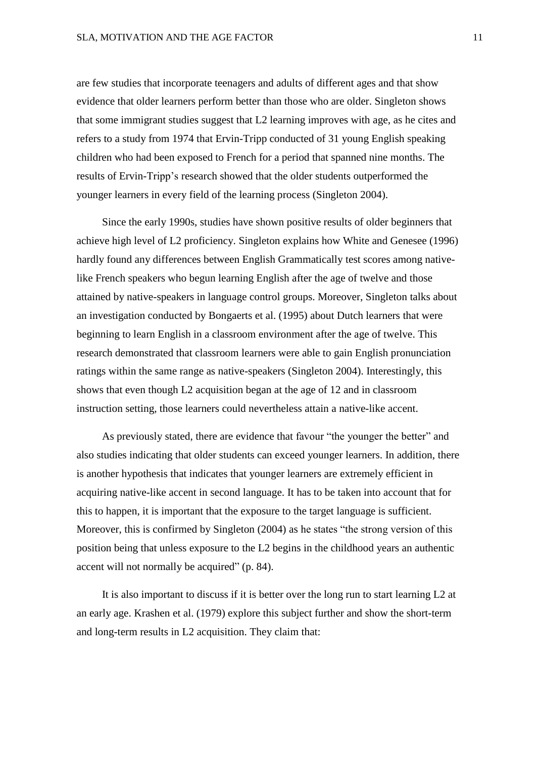are few studies that incorporate teenagers and adults of different ages and that show evidence that older learners perform better than those who are older. Singleton shows that some immigrant studies suggest that L2 learning improves with age, as he cites and refers to a study from 1974 that Ervin-Tripp conducted of 31 young English speaking children who had been exposed to French for a period that spanned nine months. The results of Ervin-Tripp's research showed that the older students outperformed the younger learners in every field of the learning process (Singleton 2004).

Since the early 1990s, studies have shown positive results of older beginners that achieve high level of L2 proficiency. Singleton explains how White and Genesee (1996) hardly found any differences between English Grammatically test scores among nativelike French speakers who begun learning English after the age of twelve and those attained by native-speakers in language control groups. Moreover, Singleton talks about an investigation conducted by Bongaerts et al. (1995) about Dutch learners that were beginning to learn English in a classroom environment after the age of twelve. This research demonstrated that classroom learners were able to gain English pronunciation ratings within the same range as native-speakers (Singleton 2004). Interestingly, this shows that even though L2 acquisition began at the age of 12 and in classroom instruction setting, those learners could nevertheless attain a native-like accent.

As previously stated, there are evidence that favour "the younger the better" and also studies indicating that older students can exceed younger learners. In addition, there is another hypothesis that indicates that younger learners are extremely efficient in acquiring native-like accent in second language. It has to be taken into account that for this to happen, it is important that the exposure to the target language is sufficient. Moreover, this is confirmed by Singleton (2004) as he states "the strong version of this position being that unless exposure to the L2 begins in the childhood years an authentic accent will not normally be acquired" (p. 84).

It is also important to discuss if it is better over the long run to start learning L2 at an early age. Krashen et al. (1979) explore this subject further and show the short-term and long-term results in L2 acquisition. They claim that: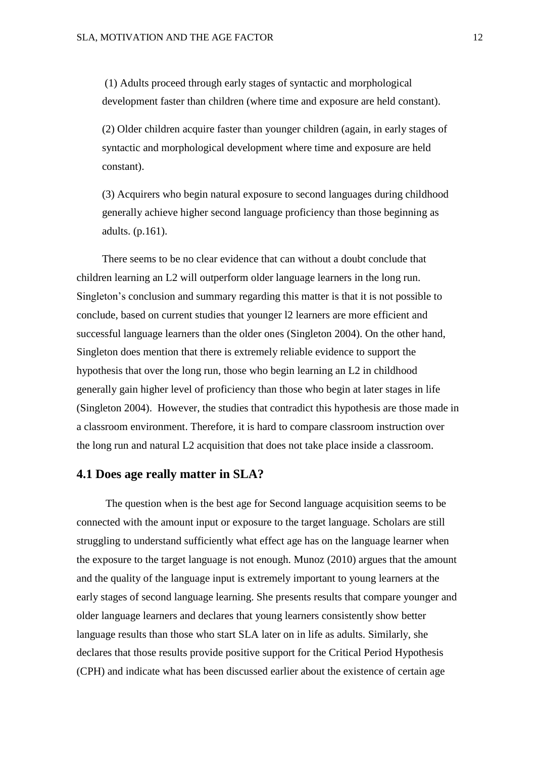(1) Adults proceed through early stages of syntactic and morphological development faster than children (where time and exposure are held constant).

(2) Older children acquire faster than younger children (again, in early stages of syntactic and morphological development where time and exposure are held constant).

(3) Acquirers who begin natural exposure to second languages during childhood generally achieve higher second language proficiency than those beginning as adults. (p.161).

There seems to be no clear evidence that can without a doubt conclude that children learning an L2 will outperform older language learners in the long run. Singleton's conclusion and summary regarding this matter is that it is not possible to conclude, based on current studies that younger l2 learners are more efficient and successful language learners than the older ones (Singleton 2004). On the other hand, Singleton does mention that there is extremely reliable evidence to support the hypothesis that over the long run, those who begin learning an L2 in childhood generally gain higher level of proficiency than those who begin at later stages in life (Singleton 2004). However, the studies that contradict this hypothesis are those made in a classroom environment. Therefore, it is hard to compare classroom instruction over the long run and natural L2 acquisition that does not take place inside a classroom.

#### **4.1 Does age really matter in SLA?**

The question when is the best age for Second language acquisition seems to be connected with the amount input or exposure to the target language. Scholars are still struggling to understand sufficiently what effect age has on the language learner when the exposure to the target language is not enough. Munoz (2010) argues that the amount and the quality of the language input is extremely important to young learners at the early stages of second language learning. She presents results that compare younger and older language learners and declares that young learners consistently show better language results than those who start SLA later on in life as adults. Similarly, she declares that those results provide positive support for the Critical Period Hypothesis (CPH) and indicate what has been discussed earlier about the existence of certain age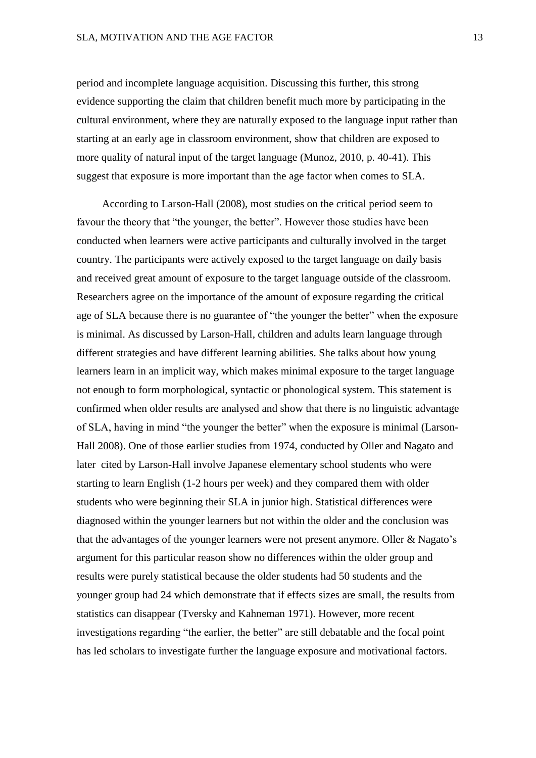period and incomplete language acquisition. Discussing this further, this strong evidence supporting the claim that children benefit much more by participating in the cultural environment, where they are naturally exposed to the language input rather than starting at an early age in classroom environment, show that children are exposed to more quality of natural input of the target language (Munoz, 2010, p. 40-41). This suggest that exposure is more important than the age factor when comes to SLA.

According to Larson-Hall (2008), most studies on the critical period seem to favour the theory that "the younger, the better". However those studies have been conducted when learners were active participants and culturally involved in the target country. The participants were actively exposed to the target language on daily basis and received great amount of exposure to the target language outside of the classroom. Researchers agree on the importance of the amount of exposure regarding the critical age of SLA because there is no guarantee of "the younger the better" when the exposure is minimal. As discussed by Larson-Hall, children and adults learn language through different strategies and have different learning abilities. She talks about how young learners learn in an implicit way, which makes minimal exposure to the target language not enough to form morphological, syntactic or phonological system. This statement is confirmed when older results are analysed and show that there is no linguistic advantage of SLA, having in mind "the younger the better" when the exposure is minimal (Larson-Hall 2008). One of those earlier studies from 1974, conducted by Oller and Nagato and later cited by Larson-Hall involve Japanese elementary school students who were starting to learn English (1-2 hours per week) and they compared them with older students who were beginning their SLA in junior high. Statistical differences were diagnosed within the younger learners but not within the older and the conclusion was that the advantages of the younger learners were not present anymore. Oller & Nagato's argument for this particular reason show no differences within the older group and results were purely statistical because the older students had 50 students and the younger group had 24 which demonstrate that if effects sizes are small, the results from statistics can disappear (Tversky and Kahneman 1971). However, more recent investigations regarding "the earlier, the better" are still debatable and the focal point has led scholars to investigate further the language exposure and motivational factors.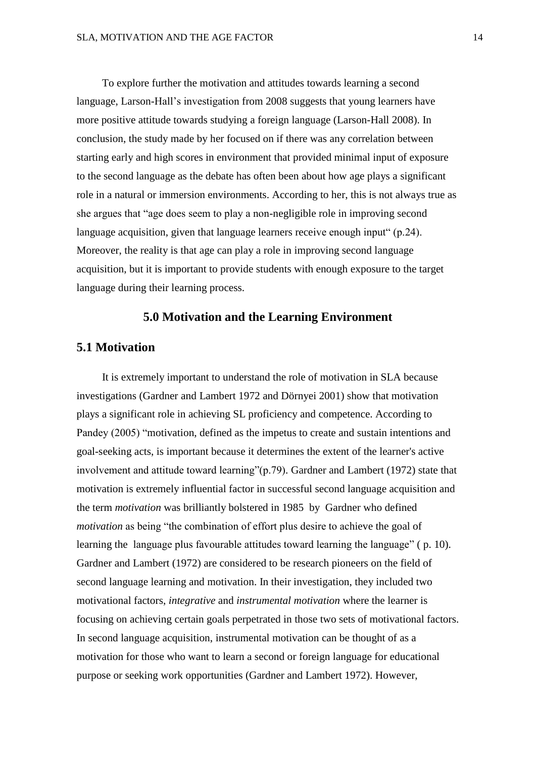To explore further the motivation and attitudes towards learning a second language, Larson-Hall's investigation from 2008 suggests that young learners have more positive attitude towards studying a foreign language (Larson-Hall 2008). In conclusion, the study made by her focused on if there was any correlation between starting early and high scores in environment that provided minimal input of exposure to the second language as the debate has often been about how age plays a significant role in a natural or immersion environments. According to her, this is not always true as she argues that "age does seem to play a non-negligible role in improving second language acquisition, given that language learners receive enough input (p. 24). Moreover, the reality is that age can play a role in improving second language acquisition, but it is important to provide students with enough exposure to the target language during their learning process.

#### **5.0 Motivation and the Learning Environment**

#### **5.1 Motivation**

It is extremely important to understand the role of motivation in SLA because investigations (Gardner and Lambert 1972 and Dörnyei 2001) show that motivation plays a significant role in achieving SL proficiency and competence. According to Pandey (2005) "motivation, defined as the impetus to create and sustain intentions and goal-seeking acts, is important because it determines the extent of the learner's active involvement and attitude toward learning"(p.79). Gardner and Lambert (1972) state that motivation is extremely influential factor in successful second language acquisition and the term *motivation* was brilliantly bolstered in 1985 by Gardner who defined *motivation* as being "the combination of effort plus desire to achieve the goal of learning the language plus favourable attitudes toward learning the language" ( p. 10). Gardner and Lambert (1972) are considered to be research pioneers on the field of second language learning and motivation. In their investigation, they included two motivational factors, *integrative* and *instrumental motivation* where the learner is focusing on achieving certain goals perpetrated in those two sets of motivational factors. In second language acquisition, instrumental motivation can be thought of as a motivation for those who want to learn a second or foreign language for educational purpose or seeking work opportunities (Gardner and Lambert 1972). However,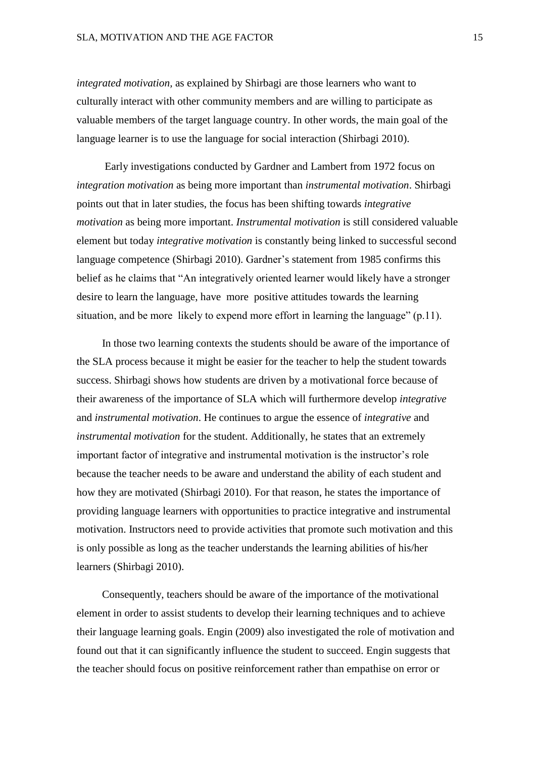*integrated motivation,* as explained by Shirbagi are those learners who want to culturally interact with other community members and are willing to participate as valuable members of the target language country. In other words, the main goal of the language learner is to use the language for social interaction (Shirbagi 2010).

Early investigations conducted by Gardner and Lambert from 1972 focus on *integration motivation* as being more important than *instrumental motivation*. Shirbagi points out that in later studies, the focus has been shifting towards *integrative motivation* as being more important. *Instrumental motivation* is still considered valuable element but today *integrative motivation* is constantly being linked to successful second language competence (Shirbagi 2010). Gardner's statement from 1985 confirms this belief as he claims that "An integratively oriented learner would likely have a stronger desire to learn the language, have more positive attitudes towards the learning situation, and be more likely to expend more effort in learning the language" (p.11).

In those two learning contexts the students should be aware of the importance of the SLA process because it might be easier for the teacher to help the student towards success. Shirbagi shows how students are driven by a motivational force because of their awareness of the importance of SLA which will furthermore develop *integrative* and *instrumental motivation*. He continues to argue the essence of *integrative* and *instrumental motivation* for the student. Additionally, he states that an extremely important factor of integrative and instrumental motivation is the instructor's role because the teacher needs to be aware and understand the ability of each student and how they are motivated (Shirbagi 2010). For that reason, he states the importance of providing language learners with opportunities to practice integrative and instrumental motivation. Instructors need to provide activities that promote such motivation and this is only possible as long as the teacher understands the learning abilities of his/her learners (Shirbagi 2010).

Consequently, teachers should be aware of the importance of the motivational element in order to assist students to develop their learning techniques and to achieve their language learning goals. Engin (2009) also investigated the role of motivation and found out that it can significantly influence the student to succeed. Engin suggests that the teacher should focus on positive reinforcement rather than empathise on error or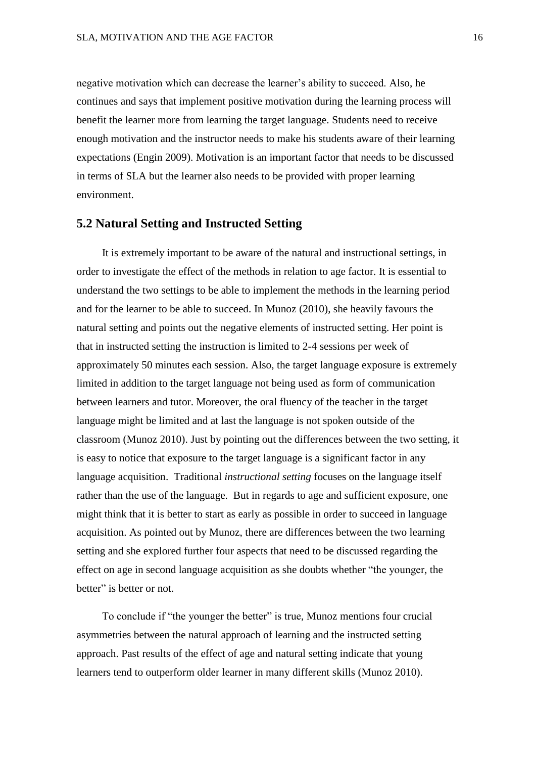negative motivation which can decrease the learner's ability to succeed. Also, he continues and says that implement positive motivation during the learning process will benefit the learner more from learning the target language. Students need to receive enough motivation and the instructor needs to make his students aware of their learning expectations (Engin 2009). Motivation is an important factor that needs to be discussed in terms of SLA but the learner also needs to be provided with proper learning environment.

#### **5.2 Natural Setting and Instructed Setting**

It is extremely important to be aware of the natural and instructional settings, in order to investigate the effect of the methods in relation to age factor. It is essential to understand the two settings to be able to implement the methods in the learning period and for the learner to be able to succeed. In Munoz (2010), she heavily favours the natural setting and points out the negative elements of instructed setting. Her point is that in instructed setting the instruction is limited to 2-4 sessions per week of approximately 50 minutes each session. Also, the target language exposure is extremely limited in addition to the target language not being used as form of communication between learners and tutor. Moreover, the oral fluency of the teacher in the target language might be limited and at last the language is not spoken outside of the classroom (Munoz 2010). Just by pointing out the differences between the two setting, it is easy to notice that exposure to the target language is a significant factor in any language acquisition. Traditional *instructional setting* focuses on the language itself rather than the use of the language. But in regards to age and sufficient exposure, one might think that it is better to start as early as possible in order to succeed in language acquisition. As pointed out by Munoz, there are differences between the two learning setting and she explored further four aspects that need to be discussed regarding the effect on age in second language acquisition as she doubts whether "the younger, the better" is better or not.

To conclude if "the younger the better" is true, Munoz mentions four crucial asymmetries between the natural approach of learning and the instructed setting approach. Past results of the effect of age and natural setting indicate that young learners tend to outperform older learner in many different skills (Munoz 2010).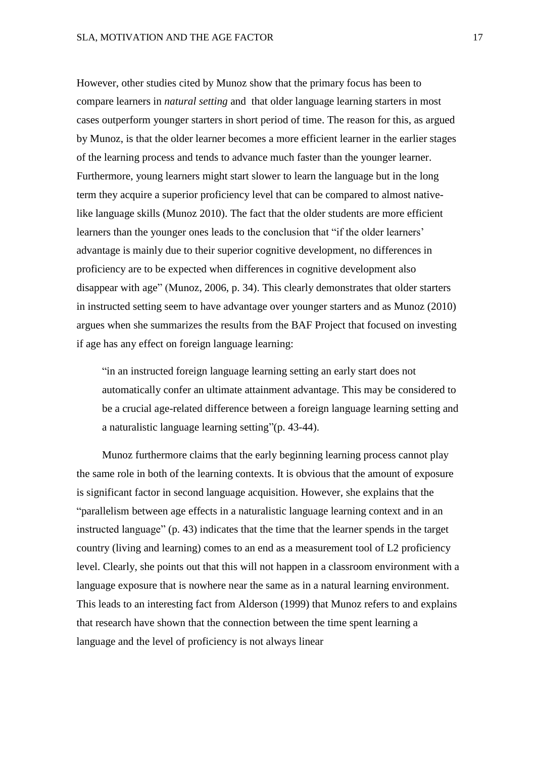However, other studies cited by Munoz show that the primary focus has been to compare learners in *natural setting* and that older language learning starters in most cases outperform younger starters in short period of time. The reason for this, as argued by Munoz, is that the older learner becomes a more efficient learner in the earlier stages of the learning process and tends to advance much faster than the younger learner. Furthermore, young learners might start slower to learn the language but in the long term they acquire a superior proficiency level that can be compared to almost nativelike language skills (Munoz 2010). The fact that the older students are more efficient learners than the younger ones leads to the conclusion that "if the older learners' advantage is mainly due to their superior cognitive development, no differences in proficiency are to be expected when differences in cognitive development also disappear with age" (Munoz, 2006, p. 34). This clearly demonstrates that older starters in instructed setting seem to have advantage over younger starters and as Munoz (2010) argues when she summarizes the results from the BAF Project that focused on investing if age has any effect on foreign language learning:

"in an instructed foreign language learning setting an early start does not automatically confer an ultimate attainment advantage. This may be considered to be a crucial age-related difference between a foreign language learning setting and a naturalistic language learning setting"(p. 43-44).

Munoz furthermore claims that the early beginning learning process cannot play the same role in both of the learning contexts. It is obvious that the amount of exposure is significant factor in second language acquisition. However, she explains that the "parallelism between age effects in a naturalistic language learning context and in an instructed language" (p. 43) indicates that the time that the learner spends in the target country (living and learning) comes to an end as a measurement tool of L2 proficiency level. Clearly, she points out that this will not happen in a classroom environment with a language exposure that is nowhere near the same as in a natural learning environment. This leads to an interesting fact from Alderson (1999) that Munoz refers to and explains that research have shown that the connection between the time spent learning a language and the level of proficiency is not always linear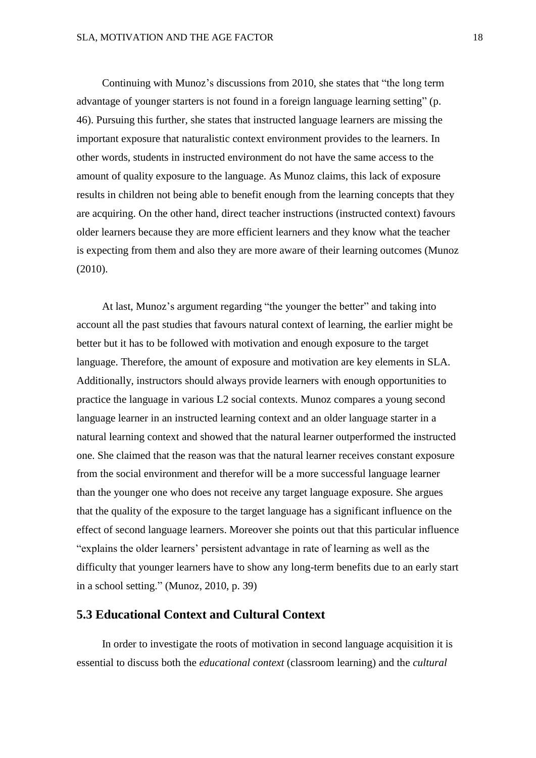Continuing with Munoz's discussions from 2010, she states that "the long term advantage of younger starters is not found in a foreign language learning setting" (p. 46). Pursuing this further, she states that instructed language learners are missing the important exposure that naturalistic context environment provides to the learners. In other words, students in instructed environment do not have the same access to the amount of quality exposure to the language. As Munoz claims, this lack of exposure results in children not being able to benefit enough from the learning concepts that they are acquiring. On the other hand, direct teacher instructions (instructed context) favours older learners because they are more efficient learners and they know what the teacher is expecting from them and also they are more aware of their learning outcomes (Munoz (2010).

At last, Munoz's argument regarding "the younger the better" and taking into account all the past studies that favours natural context of learning, the earlier might be better but it has to be followed with motivation and enough exposure to the target language. Therefore, the amount of exposure and motivation are key elements in SLA. Additionally, instructors should always provide learners with enough opportunities to practice the language in various L2 social contexts. Munoz compares a young second language learner in an instructed learning context and an older language starter in a natural learning context and showed that the natural learner outperformed the instructed one. She claimed that the reason was that the natural learner receives constant exposure from the social environment and therefor will be a more successful language learner than the younger one who does not receive any target language exposure. She argues that the quality of the exposure to the target language has a significant influence on the effect of second language learners. Moreover she points out that this particular influence "explains the older learners' persistent advantage in rate of learning as well as the difficulty that younger learners have to show any long-term benefits due to an early start in a school setting." (Munoz, 2010, p. 39)

#### **5.3 Educational Context and Cultural Context**

In order to investigate the roots of motivation in second language acquisition it is essential to discuss both the *educational context* (classroom learning) and the *cultural*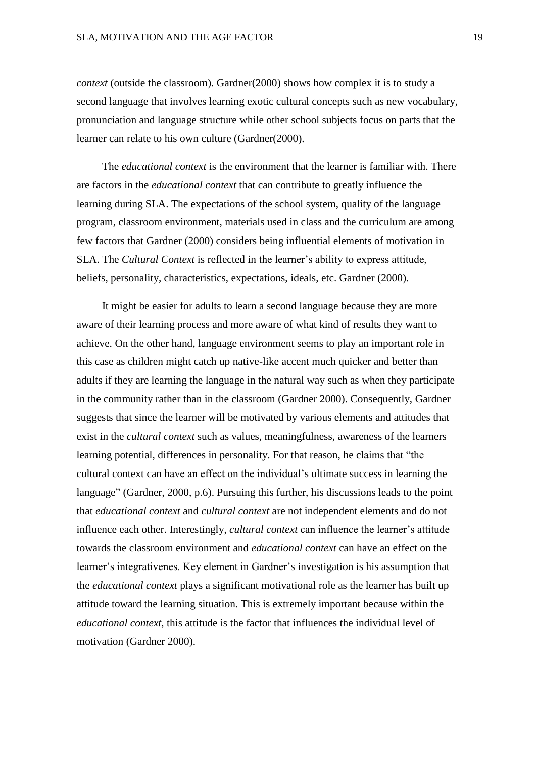*context* (outside the classroom). Gardner(2000) shows how complex it is to study a second language that involves learning exotic cultural concepts such as new vocabulary, pronunciation and language structure while other school subjects focus on parts that the learner can relate to his own culture (Gardner(2000).

The *educational context* is the environment that the learner is familiar with. There are factors in the *educational context* that can contribute to greatly influence the learning during SLA. The expectations of the school system, quality of the language program, classroom environment, materials used in class and the curriculum are among few factors that Gardner (2000) considers being influential elements of motivation in SLA. The *Cultural Context* is reflected in the learner's ability to express attitude, beliefs, personality, characteristics, expectations, ideals, etc. Gardner (2000).

It might be easier for adults to learn a second language because they are more aware of their learning process and more aware of what kind of results they want to achieve. On the other hand, language environment seems to play an important role in this case as children might catch up native-like accent much quicker and better than adults if they are learning the language in the natural way such as when they participate in the community rather than in the classroom (Gardner 2000). Consequently, Gardner suggests that since the learner will be motivated by various elements and attitudes that exist in the *cultural context* such as values, meaningfulness, awareness of the learners learning potential, differences in personality. For that reason, he claims that "the cultural context can have an effect on the individual's ultimate success in learning the language" (Gardner, 2000, p.6). Pursuing this further, his discussions leads to the point that *educational context* and *cultural context* are not independent elements and do not influence each other. Interestingly, *cultural context* can influence the learner's attitude towards the classroom environment and *educational context* can have an effect on the learner's integrativenes. Key element in Gardner's investigation is his assumption that the *educational context* plays a significant motivational role as the learner has built up attitude toward the learning situation*.* This is extremely important because within the *educational context,* this attitude is the factor that influences the individual level of motivation (Gardner 2000).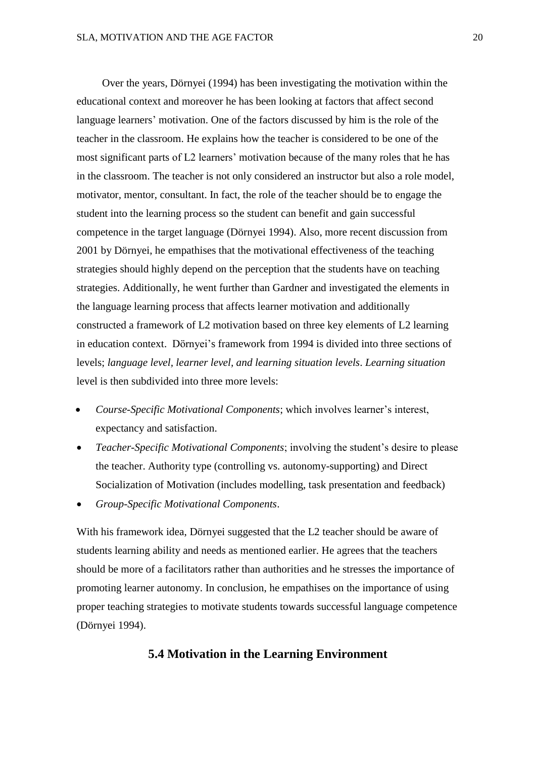Over the years, Dörnyei (1994) has been investigating the motivation within the educational context and moreover he has been looking at factors that affect second language learners' motivation. One of the factors discussed by him is the role of the teacher in the classroom. He explains how the teacher is considered to be one of the most significant parts of L2 learners' motivation because of the many roles that he has in the classroom. The teacher is not only considered an instructor but also a role model, motivator, mentor, consultant. In fact, the role of the teacher should be to engage the student into the learning process so the student can benefit and gain successful competence in the target language (Dörnyei 1994). Also, more recent discussion from 2001 by Dörnyei, he empathises that the motivational effectiveness of the teaching strategies should highly depend on the perception that the students have on teaching strategies. Additionally, he went further than Gardner and investigated the elements in the language learning process that affects learner motivation and additionally constructed a framework of L2 motivation based on three key elements of L2 learning in education context. Dörnyei's framework from 1994 is divided into three sections of levels; *language level, learner level, and learning situation levels*. *Learning situation* level is then subdivided into three more levels:

- *Course-Specific Motivational Components*; which involves learner's interest, expectancy and satisfaction.
- *Teacher-Specific Motivational Components*; involving the student's desire to please the teacher. Authority type (controlling vs. autonomy-supporting) and Direct Socialization of Motivation (includes modelling, task presentation and feedback)
- *Group-Specific Motivational Components*.

With his framework idea, Dörnyei suggested that the L2 teacher should be aware of students learning ability and needs as mentioned earlier. He agrees that the teachers should be more of a facilitators rather than authorities and he stresses the importance of promoting learner autonomy. In conclusion, he empathises on the importance of using proper teaching strategies to motivate students towards successful language competence (Dörnyei 1994).

#### **5.4 Motivation in the Learning Environment**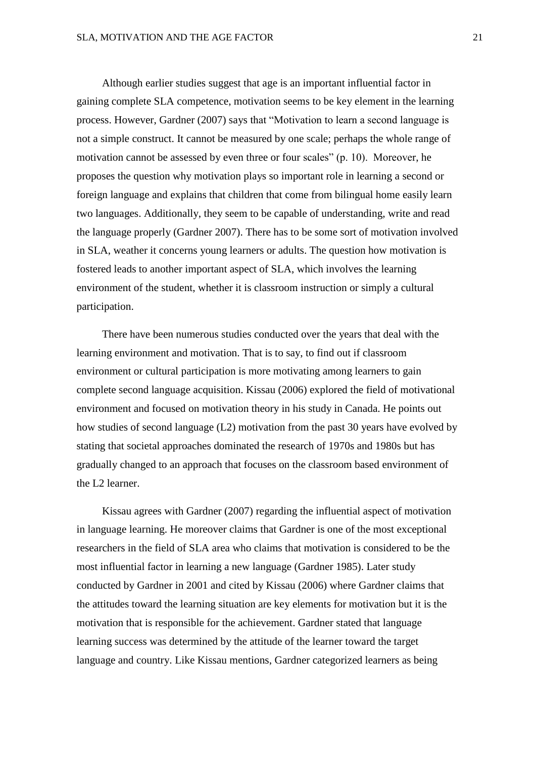Although earlier studies suggest that age is an important influential factor in gaining complete SLA competence, motivation seems to be key element in the learning process. However, Gardner (2007) says that "Motivation to learn a second language is not a simple construct. It cannot be measured by one scale; perhaps the whole range of motivation cannot be assessed by even three or four scales" (p. 10). Moreover, he proposes the question why motivation plays so important role in learning a second or foreign language and explains that children that come from bilingual home easily learn two languages. Additionally, they seem to be capable of understanding, write and read the language properly (Gardner 2007). There has to be some sort of motivation involved in SLA, weather it concerns young learners or adults. The question how motivation is fostered leads to another important aspect of SLA, which involves the learning environment of the student, whether it is classroom instruction or simply a cultural participation.

There have been numerous studies conducted over the years that deal with the learning environment and motivation. That is to say, to find out if classroom environment or cultural participation is more motivating among learners to gain complete second language acquisition. Kissau (2006) explored the field of motivational environment and focused on motivation theory in his study in Canada. He points out how studies of second language (L2) motivation from the past 30 years have evolved by stating that societal approaches dominated the research of 1970s and 1980s but has gradually changed to an approach that focuses on the classroom based environment of the L2 learner.

Kissau agrees with Gardner (2007) regarding the influential aspect of motivation in language learning. He moreover claims that Gardner is one of the most exceptional researchers in the field of SLA area who claims that motivation is considered to be the most influential factor in learning a new language (Gardner 1985). Later study conducted by Gardner in 2001 and cited by Kissau (2006) where Gardner claims that the attitudes toward the learning situation are key elements for motivation but it is the motivation that is responsible for the achievement. Gardner stated that language learning success was determined by the attitude of the learner toward the target language and country. Like Kissau mentions, Gardner categorized learners as being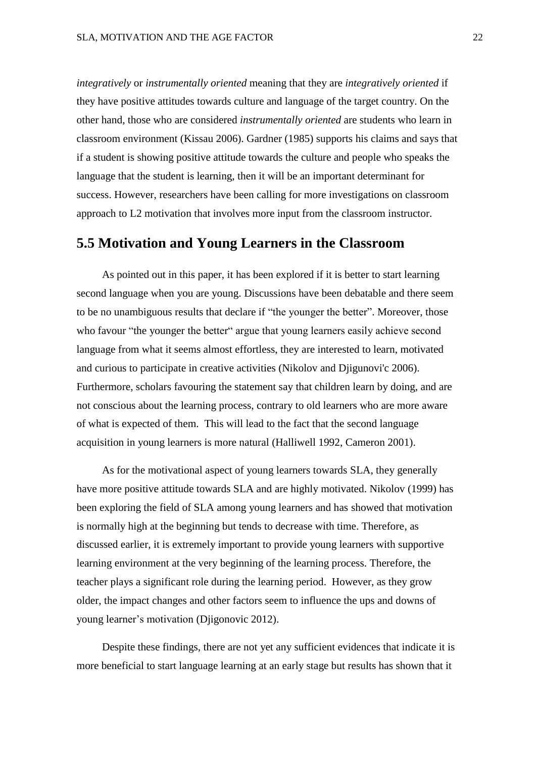*integratively* or *instrumentally oriented* meaning that they are *integratively oriented* if they have positive attitudes towards culture and language of the target country. On the other hand, those who are considered *instrumentally oriented* are students who learn in classroom environment (Kissau 2006). Gardner (1985) supports his claims and says that if a student is showing positive attitude towards the culture and people who speaks the language that the student is learning, then it will be an important determinant for success. However, researchers have been calling for more investigations on classroom approach to L2 motivation that involves more input from the classroom instructor.

## **5.5 Motivation and Young Learners in the Classroom**

As pointed out in this paper, it has been explored if it is better to start learning second language when you are young. Discussions have been debatable and there seem to be no unambiguous results that declare if "the younger the better". Moreover, those who favour "the younger the better" argue that young learners easily achieve second language from what it seems almost effortless, they are interested to learn, motivated and curious to participate in creative activities (Nikolov and Djigunovi'c 2006). Furthermore, scholars favouring the statement say that children learn by doing, and are not conscious about the learning process, contrary to old learners who are more aware of what is expected of them. This will lead to the fact that the second language acquisition in young learners is more natural (Halliwell 1992, Cameron 2001).

As for the motivational aspect of young learners towards SLA, they generally have more positive attitude towards SLA and are highly motivated. Nikolov (1999) has been exploring the field of SLA among young learners and has showed that motivation is normally high at the beginning but tends to decrease with time. Therefore, as discussed earlier, it is extremely important to provide young learners with supportive learning environment at the very beginning of the learning process. Therefore, the teacher plays a significant role during the learning period. However, as they grow older, the impact changes and other factors seem to influence the ups and downs of young learner's motivation (Djigonovic 2012).

Despite these findings, there are not yet any sufficient evidences that indicate it is more beneficial to start language learning at an early stage but results has shown that it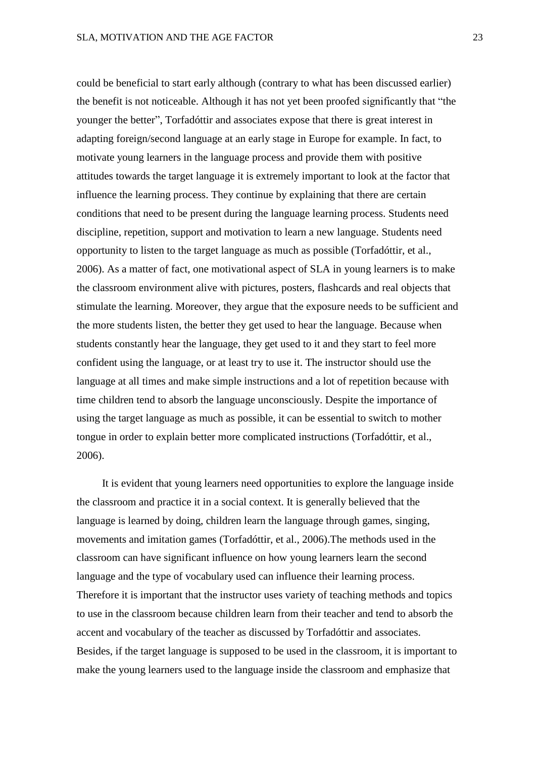could be beneficial to start early although (contrary to what has been discussed earlier) the benefit is not noticeable. Although it has not yet been proofed significantly that "the younger the better", Torfadóttir and associates expose that there is great interest in adapting foreign/second language at an early stage in Europe for example. In fact, to motivate young learners in the language process and provide them with positive attitudes towards the target language it is extremely important to look at the factor that influence the learning process. They continue by explaining that there are certain conditions that need to be present during the language learning process. Students need discipline, repetition, support and motivation to learn a new language. Students need opportunity to listen to the target language as much as possible (Torfadóttir, et al., 2006). As a matter of fact, one motivational aspect of SLA in young learners is to make the classroom environment alive with pictures, posters, flashcards and real objects that stimulate the learning. Moreover, they argue that the exposure needs to be sufficient and the more students listen, the better they get used to hear the language. Because when students constantly hear the language, they get used to it and they start to feel more confident using the language, or at least try to use it. The instructor should use the language at all times and make simple instructions and a lot of repetition because with time children tend to absorb the language unconsciously. Despite the importance of using the target language as much as possible, it can be essential to switch to mother tongue in order to explain better more complicated instructions (Torfadóttir, et al., 2006).

It is evident that young learners need opportunities to explore the language inside the classroom and practice it in a social context. It is generally believed that the language is learned by doing, children learn the language through games, singing, movements and imitation games (Torfadóttir, et al., 2006).The methods used in the classroom can have significant influence on how young learners learn the second language and the type of vocabulary used can influence their learning process. Therefore it is important that the instructor uses variety of teaching methods and topics to use in the classroom because children learn from their teacher and tend to absorb the accent and vocabulary of the teacher as discussed by Torfadóttir and associates. Besides, if the target language is supposed to be used in the classroom, it is important to make the young learners used to the language inside the classroom and emphasize that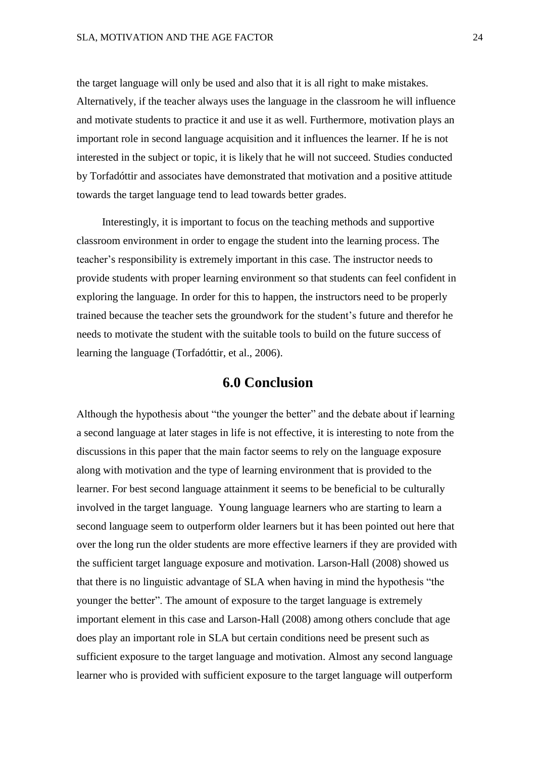the target language will only be used and also that it is all right to make mistakes. Alternatively, if the teacher always uses the language in the classroom he will influence and motivate students to practice it and use it as well. Furthermore, motivation plays an important role in second language acquisition and it influences the learner. If he is not interested in the subject or topic, it is likely that he will not succeed. Studies conducted by Torfadóttir and associates have demonstrated that motivation and a positive attitude towards the target language tend to lead towards better grades.

Interestingly, it is important to focus on the teaching methods and supportive classroom environment in order to engage the student into the learning process. The teacher's responsibility is extremely important in this case. The instructor needs to provide students with proper learning environment so that students can feel confident in exploring the language. In order for this to happen, the instructors need to be properly trained because the teacher sets the groundwork for the student's future and therefor he needs to motivate the student with the suitable tools to build on the future success of learning the language (Torfadóttir, et al., 2006).

### **6.0 Conclusion**

Although the hypothesis about "the younger the better" and the debate about if learning a second language at later stages in life is not effective, it is interesting to note from the discussions in this paper that the main factor seems to rely on the language exposure along with motivation and the type of learning environment that is provided to the learner. For best second language attainment it seems to be beneficial to be culturally involved in the target language. Young language learners who are starting to learn a second language seem to outperform older learners but it has been pointed out here that over the long run the older students are more effective learners if they are provided with the sufficient target language exposure and motivation. Larson-Hall (2008) showed us that there is no linguistic advantage of SLA when having in mind the hypothesis "the younger the better". The amount of exposure to the target language is extremely important element in this case and Larson-Hall (2008) among others conclude that age does play an important role in SLA but certain conditions need be present such as sufficient exposure to the target language and motivation. Almost any second language learner who is provided with sufficient exposure to the target language will outperform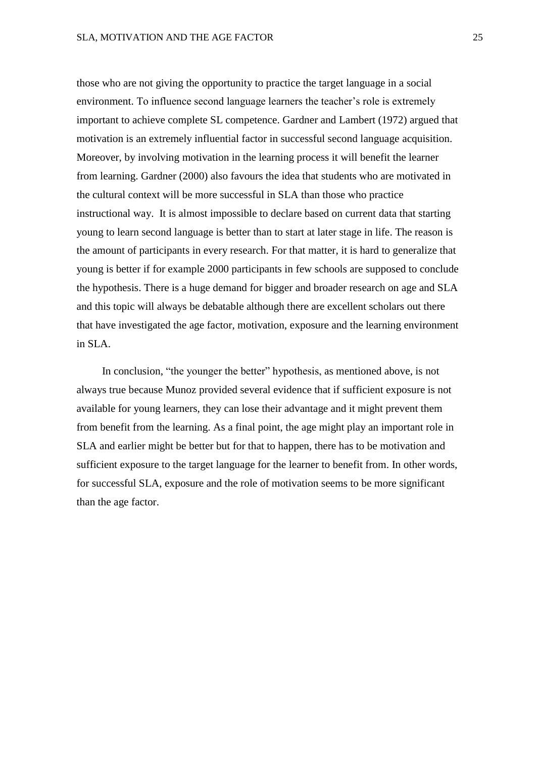those who are not giving the opportunity to practice the target language in a social environment. To influence second language learners the teacher's role is extremely important to achieve complete SL competence. Gardner and Lambert (1972) argued that motivation is an extremely influential factor in successful second language acquisition. Moreover, by involving motivation in the learning process it will benefit the learner from learning. Gardner (2000) also favours the idea that students who are motivated in the cultural context will be more successful in SLA than those who practice instructional way. It is almost impossible to declare based on current data that starting young to learn second language is better than to start at later stage in life. The reason is the amount of participants in every research. For that matter, it is hard to generalize that young is better if for example 2000 participants in few schools are supposed to conclude the hypothesis. There is a huge demand for bigger and broader research on age and SLA and this topic will always be debatable although there are excellent scholars out there that have investigated the age factor, motivation, exposure and the learning environment in SLA.

In conclusion, "the younger the better" hypothesis, as mentioned above, is not always true because Munoz provided several evidence that if sufficient exposure is not available for young learners, they can lose their advantage and it might prevent them from benefit from the learning. As a final point, the age might play an important role in SLA and earlier might be better but for that to happen, there has to be motivation and sufficient exposure to the target language for the learner to benefit from. In other words, for successful SLA, exposure and the role of motivation seems to be more significant than the age factor.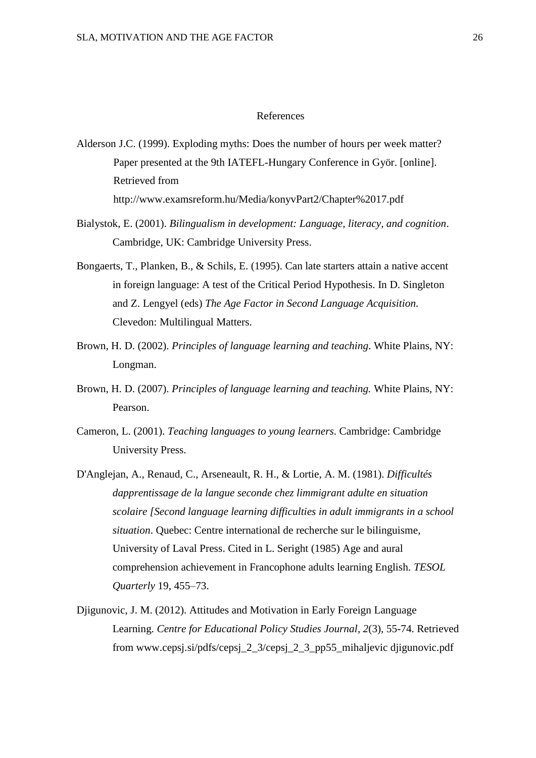#### References

- Alderson J.C. (1999). Exploding myths: Does the number of hours per week matter? Paper presented at the 9th IATEFL-Hungary Conference in Györ. [online]. Retrieved from http://www.examsreform.hu/Media/konyvPart2/Chapter%2017.pdf
- Bialystok, E. (2001). *Bilingualism in development: Language, literacy, and cognition*.
	- Cambridge, UK: Cambridge University Press.
- Bongaerts, T., Planken, B., & Schils, E. (1995). Can late starters attain a native accent in foreign language: A test of the Critical Period Hypothesis. In D. Singleton and Z. Lengyel (eds) *The Age Factor in Second Language Acquisition.*  Clevedon: Multilingual Matters.
- Brown, H. D. (2002). *Principles of language learning and teaching*. White Plains, NY: Longman.
- Brown, H. D. (2007). *Principles of language learning and teaching.* White Plains, NY: Pearson.
- Cameron, L. (2001). *Teaching languages to young learners*. Cambridge: Cambridge University Press.
- D'Anglejan, A., Renaud, C., Arseneault, R. H., & Lortie, A. M. (1981). *Difficultés dapprentissage de la langue seconde chez limmigrant adulte en situation scolaire [Second language learning difficulties in adult immigrants in a school situation*. Quebec: Centre international de recherche sur le bilinguisme, University of Laval Press. Cited in L. Seright (1985) Age and aural comprehension achievement in Francophone adults learning English. *TESOL Quarterly* 19, 455–73.
- Djigunovic, J. M. (2012). Attitudes and Motivation in Early Foreign Language Learning. *Centre for Educational Policy Studies Journal*, *2*(3), 55-74. Retrieved from www.cepsj.si/pdfs/cepsj\_2\_3/cepsj\_2\_3\_pp55\_mihaljevic djigunovic.pdf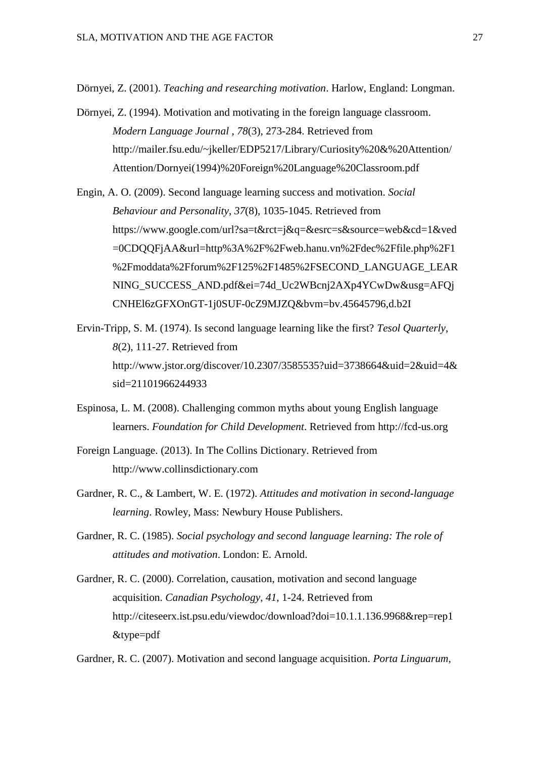Dörnyei, Z. (2001). *Teaching and researching motivation*. Harlow, England: Longman.

- Dörnyei, Z. (1994). Motivation and motivating in the foreign language classroom. *Modern Language Journal* , *78*(3), 273-284. Retrieved from http://mailer.fsu.edu/~jkeller/EDP5217/Library/Curiosity%20&%20Attention/ Attention/Dornyei(1994)%20Foreign%20Language%20Classroom.pdf
- Engin, A. O. (2009). Second language learning success and motivation. *Social Behaviour and Personality*, *37*(8), 1035-1045. Retrieved from https://www.google.com/url?sa=t&rct=j&q=&esrc=s&source=web&cd=1&ved =0CDQQFjAA&url=http%3A%2F%2Fweb.hanu.vn%2Fdec%2Ffile.php%2F1 %2Fmoddata%2Fforum%2F125%2F1485%2FSECOND\_LANGUAGE\_LEAR NING\_SUCCESS\_AND.pdf&ei=74d\_Uc2WBcnj2AXp4YCwDw&usg=AFQj CNHEl6zGFXOnGT-1j0SUF-0cZ9MJZQ&bvm=bv.45645796,d.b2I
- Ervin-Tripp, S. M. (1974). Is second language learning like the first? *Tesol Quarterly*, *8*(2), 111-27. Retrieved from http://www.jstor.org/discover/10.2307/3585535?uid=3738664&uid=2&uid=4& sid=21101966244933
- Espinosa, L. M. (2008). Challenging common myths about young English language learners. *Foundation for Child Development*. Retrieved from http://fcd-us.org
- Foreign Language. (2013). In The Collins Dictionary. Retrieved from http://www.collinsdictionary.com
- Gardner, R. C., & Lambert, W. E. (1972). *Attitudes and motivation in second-language learning*. Rowley, Mass: Newbury House Publishers.
- Gardner, R. C. (1985). *Social psychology and second language learning: The role of attitudes and motivation*. London: E. Arnold.
- Gardner, R. C. (2000). Correlation, causation, motivation and second language acquisition. *Canadian Psychology*, *41*, 1-24. Retrieved from http://citeseerx.ist.psu.edu/viewdoc/download?doi=10.1.1.136.9968&rep=rep1 &type=pdf

Gardner, R. C. (2007). Motivation and second language acquisition. *Porta Linguarum*,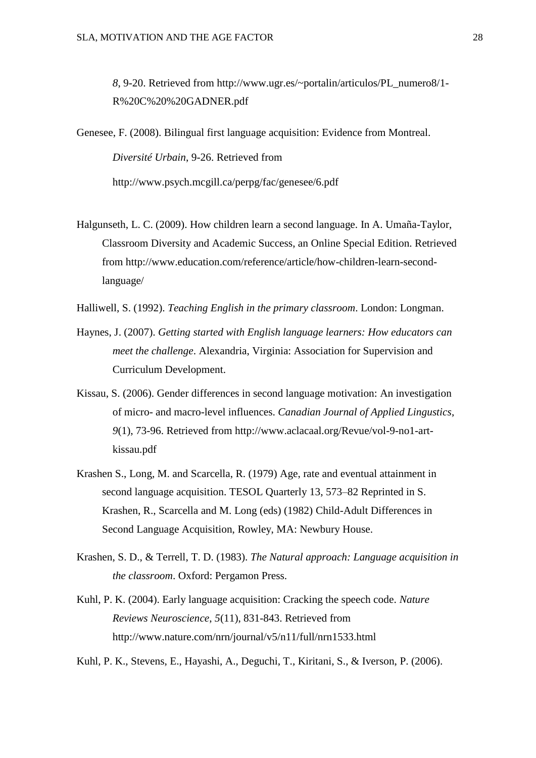*8*, 9-20. Retrieved from http://www.ugr.es/~portalin/articulos/PL\_numero8/1- R%20C%20%20GADNER.pdf

Genesee, F. (2008). Bilingual first language acquisition: Evidence from Montreal. *Diversité Urbain*, 9-26. Retrieved from http://www.psych.mcgill.ca/perpg/fac/genesee/6.pdf

Halgunseth, L. C. (2009). How children learn a second language. In A. Umaña-Taylor, Classroom Diversity and Academic Success, an Online Special Edition. Retrieved from http://www.education.com/reference/article/how-children-learn-secondlanguage/

Halliwell, S. (1992). *Teaching English in the primary classroom*. London: Longman.

- Haynes, J. (2007). *Getting started with English language learners: How educators can meet the challenge*. Alexandria, Virginia: Association for Supervision and Curriculum Development.
- Kissau, S. (2006). Gender differences in second language motivation: An investigation of micro- and macro-level influences. *Canadian Journal of Applied Lingustics*, *9*(1), 73-96. Retrieved from http://www.aclacaal.org/Revue/vol-9-no1-artkissau.pdf
- Krashen S., Long, M. and Scarcella, R. (1979) Age, rate and eventual attainment in second language acquisition. TESOL Quarterly 13, 573–82 Reprinted in S. Krashen, R., Scarcella and M. Long (eds) (1982) Child-Adult Differences in Second Language Acquisition, Rowley, MA: Newbury House.
- Krashen, S. D., & Terrell, T. D. (1983). *The Natural approach: Language acquisition in the classroom*. Oxford: Pergamon Press.
- Kuhl, P. K. (2004). Early language acquisition: Cracking the speech code. *Nature Reviews Neuroscience*, *5*(11), 831-843. Retrieved from http://www.nature.com/nrn/journal/v5/n11/full/nrn1533.html

Kuhl, P. K., Stevens, E., Hayashi, A., Deguchi, T., Kiritani, S., & Iverson, P. (2006).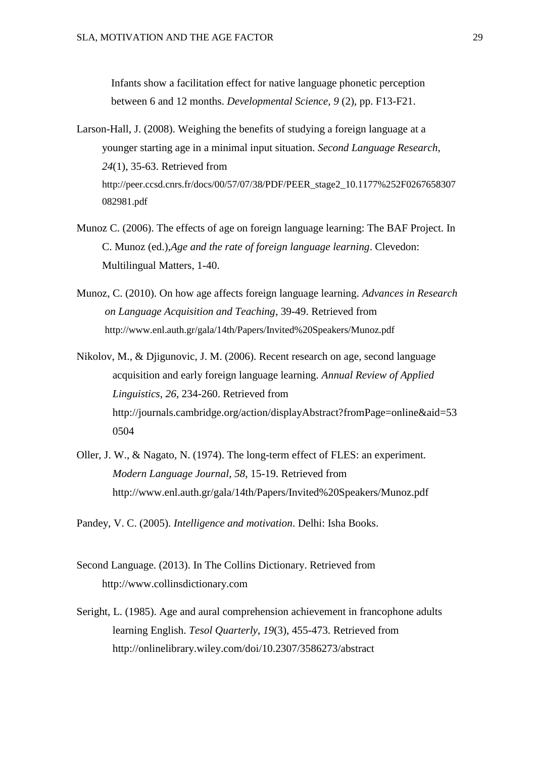Infants show a facilitation effect for native language phonetic perception between 6 and 12 months. *Developmental Science, 9* (2), pp. F13-F21.

- Larson-Hall, J. (2008). Weighing the benefits of studying a foreign language at a younger starting age in a minimal input situation. *Second Language Research*, *24*(1), 35-63. Retrieved from http://peer.ccsd.cnrs.fr/docs/00/57/07/38/PDF/PEER\_stage2\_10.1177%252F0267658307 082981.pdf
- Munoz C. (2006). The effects of age on foreign language learning: The BAF Project. In C. Munoz (ed.),*Age and the rate of foreign language learning*. Clevedon: Multilingual Matters, 1-40.
- Munoz, C. (2010). On how age affects foreign language learning. *Advances in Research on Language Acquisition and Teaching*, 39-49. Retrieved from http://www.enl.auth.gr/gala/14th/Papers/Invited%20Speakers/Munoz.pdf
- Nikolov, M., & Djigunovic, J. M. (2006). Recent research on age, second language acquisition and early foreign language learning. *Annual Review of Applied Linguistics*, *26*, 234-260. Retrieved from http://journals.cambridge.org/action/displayAbstract?fromPage=online&aid=53 0504
- Oller, J. W., & Nagato, N. (1974). The long-term effect of FLES: an experiment. *Modern Language Journal*, *58*, 15-19. Retrieved from http://www.enl.auth.gr/gala/14th/Papers/Invited%20Speakers/Munoz.pdf
- Pandey, V. C. (2005). *Intelligence and motivation*. Delhi: Isha Books.
- Second Language. (2013). In The Collins Dictionary. Retrieved from http://www.collinsdictionary.com
- Seright, L. (1985). Age and aural comprehension achievement in francophone adults learning English. *Tesol Quarterly*, *19*(3), 455-473. Retrieved from http://onlinelibrary.wiley.com/doi/10.2307/3586273/abstract